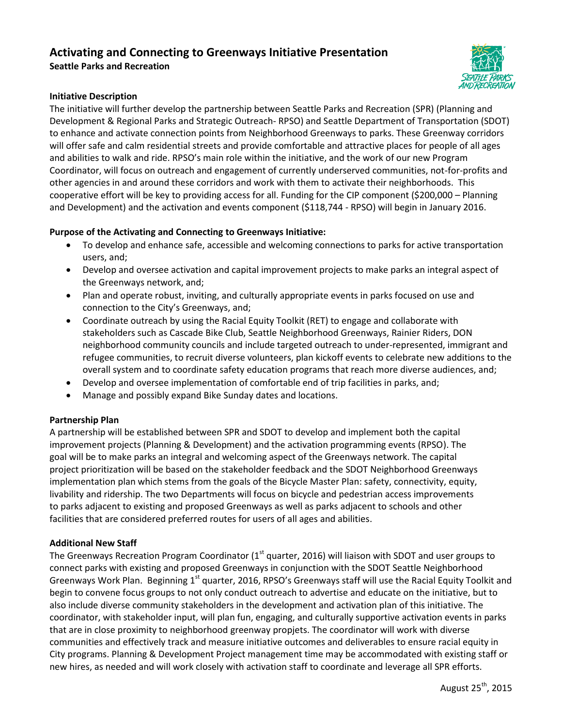# **Activating and Connecting to Greenways Initiative Presentation Seattle Parks and Recreation**



## **Initiative Description**

The initiative will further develop the partnership between Seattle Parks and Recreation (SPR) (Planning and Development & Regional Parks and Strategic Outreach- RPSO) and Seattle Department of Transportation (SDOT) to enhance and activate connection points from Neighborhood Greenways to parks. These Greenway corridors will offer safe and calm residential streets and provide comfortable and attractive places for people of all ages and abilities to walk and ride. RPSO's main role within the initiative, and the work of our new Program Coordinator, will focus on outreach and engagement of currently underserved communities, not-for-profits and other agencies in and around these corridors and work with them to activate their neighborhoods. This cooperative effort will be key to providing access for all. Funding for the CIP component (\$200,000 – Planning and Development) and the activation and events component (\$118,744 - RPSO) will begin in January 2016.

## **Purpose of the Activating and Connecting to Greenways Initiative:**

- To develop and enhance safe, accessible and welcoming connections to parks for active transportation users, and;
- Develop and oversee activation and capital improvement projects to make parks an integral aspect of the Greenways network, and;
- Plan and operate robust, inviting, and culturally appropriate events in parks focused on use and connection to the City's Greenways, and;
- Coordinate outreach by using the Racial Equity Toolkit (RET) to engage and collaborate with stakeholders such as Cascade Bike Club, Seattle Neighborhood Greenways, Rainier Riders, DON neighborhood community councils and include targeted outreach to under-represented, immigrant and refugee communities, to recruit diverse volunteers, plan kickoff events to celebrate new additions to the overall system and to coordinate safety education programs that reach more diverse audiences, and;
- Develop and oversee implementation of comfortable end of trip facilities in parks, and;
- Manage and possibly expand Bike Sunday dates and locations.

#### **Partnership Plan**

A partnership will be established between SPR and SDOT to develop and implement both the capital improvement projects (Planning & Development) and the activation programming events (RPSO). The goal will be to make parks an integral and welcoming aspect of the Greenways network. The capital project prioritization will be based on the stakeholder feedback and the SDOT Neighborhood Greenways implementation plan which stems from the goals of the Bicycle Master Plan: safety, connectivity, equity, livability and ridership. The two Departments will focus on bicycle and pedestrian access improvements to parks adjacent to existing and proposed Greenways as well as parks adjacent to schools and other facilities that are considered preferred routes for users of all ages and abilities.

#### **Additional New Staff**

The Greenways Recreation Program Coordinator ( $1<sup>st</sup>$  quarter, 2016) will liaison with SDOT and user groups to connect parks with existing and proposed Greenways in conjunction with the SDOT Seattle Neighborhood Greenways Work Plan. Beginning 1<sup>st</sup> quarter, 2016, RPSO's Greenways staff will use the Racial Equity Toolkit and begin to convene focus groups to not only conduct outreach to advertise and educate on the initiative, but to also include diverse community stakeholders in the development and activation plan of this initiative. The coordinator, with stakeholder input, will plan fun, engaging, and culturally supportive activation events in parks that are in close proximity to neighborhood greenway propjets. The coordinator will work with diverse communities and effectively track and measure initiative outcomes and deliverables to ensure racial equity in City programs. Planning & Development Project management time may be accommodated with existing staff or new hires, as needed and will work closely with activation staff to coordinate and leverage all SPR efforts.